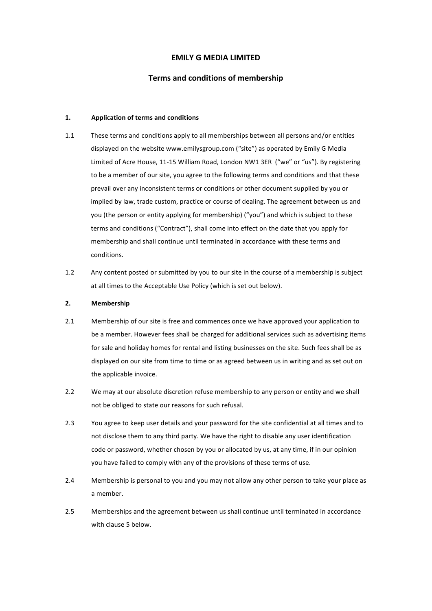# **EMILY G MEDIA LIMITED**

## **Terms and conditions of membership**

#### 1. **Application of terms and conditions**

- 1.1 These terms and conditions apply to all memberships between all persons and/or entities displayed on the website www.emilysgroup.com ("site") as operated by Emily G Media Limited of Acre House, 11-15 William Road, London NW1 3ER ("we" or "us"). By registering to be a member of our site, you agree to the following terms and conditions and that these prevail over any inconsistent terms or conditions or other document supplied by you or implied by law, trade custom, practice or course of dealing. The agreement between us and you (the person or entity applying for membership) ("you") and which is subject to these terms and conditions ("Contract"), shall come into effect on the date that you apply for membership and shall continue until terminated in accordance with these terms and conditions.
- 1.2 Any content posted or submitted by you to our site in the course of a membership is subject at all times to the Acceptable Use Policy (which is set out below).

#### **2. Membership**

- 2.1 Membership of our site is free and commences once we have approved your application to be a member. However fees shall be charged for additional services such as advertising items for sale and holiday homes for rental and listing businesses on the site. Such fees shall be as displayed on our site from time to time or as agreed between us in writing and as set out on the applicable invoice.
- 2.2 We may at our absolute discretion refuse membership to any person or entity and we shall not be obliged to state our reasons for such refusal.
- 2.3 You agree to keep user details and your password for the site confidential at all times and to not disclose them to any third party. We have the right to disable any user identification code or password, whether chosen by you or allocated by us, at any time, if in our opinion you have failed to comply with any of the provisions of these terms of use.
- 2.4 Membership is personal to you and you may not allow any other person to take your place as a member.
- 2.5 Memberships and the agreement between us shall continue until terminated in accordance with clause 5 below.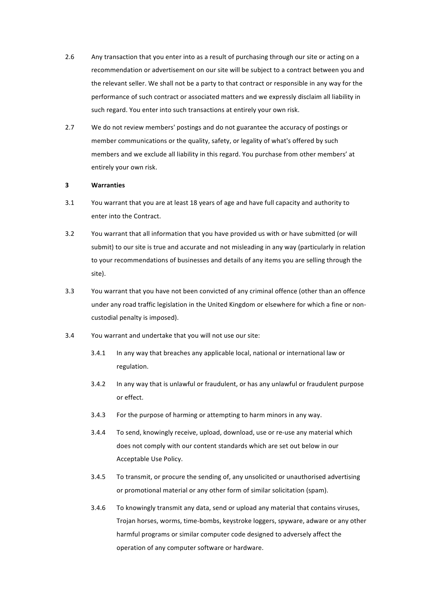- 2.6 Any transaction that you enter into as a result of purchasing through our site or acting on a recommendation or advertisement on our site will be subject to a contract between you and the relevant seller. We shall not be a party to that contract or responsible in any way for the performance of such contract or associated matters and we expressly disclaim all liability in such regard. You enter into such transactions at entirely your own risk.
- 2.7 We do not review members' postings and do not guarantee the accuracy of postings or member communications or the quality, safety, or legality of what's offered by such members and we exclude all liability in this regard. You purchase from other members' at entirely your own risk.

#### **3 Warranties**

- 3.1 You warrant that you are at least 18 years of age and have full capacity and authority to enter into the Contract.
- 3.2 You warrant that all information that you have provided us with or have submitted (or will submit) to our site is true and accurate and not misleading in any way (particularly in relation to your recommendations of businesses and details of any items you are selling through the site).
- 3.3 You warrant that you have not been convicted of any criminal offence (other than an offence under any road traffic legislation in the United Kingdom or elsewhere for which a fine or noncustodial penalty is imposed).
- 3.4 You warrant and undertake that you will not use our site:
	- 3.4.1 In any way that breaches any applicable local, national or international law or regulation.
	- 3.4.2 In any way that is unlawful or fraudulent, or has any unlawful or fraudulent purpose or effect.
	- 3.4.3 For the purpose of harming or attempting to harm minors in any way.
	- 3.4.4 To send, knowingly receive, upload, download, use or re-use any material which does not comply with our content standards which are set out below in our Acceptable Use Policy.
	- 3.4.5 To transmit, or procure the sending of, any unsolicited or unauthorised advertising or promotional material or any other form of similar solicitation (spam).
	- 3.4.6 To knowingly transmit any data, send or upload any material that contains viruses, Trojan horses, worms, time-bombs, keystroke loggers, spyware, adware or any other harmful programs or similar computer code designed to adversely affect the operation of any computer software or hardware.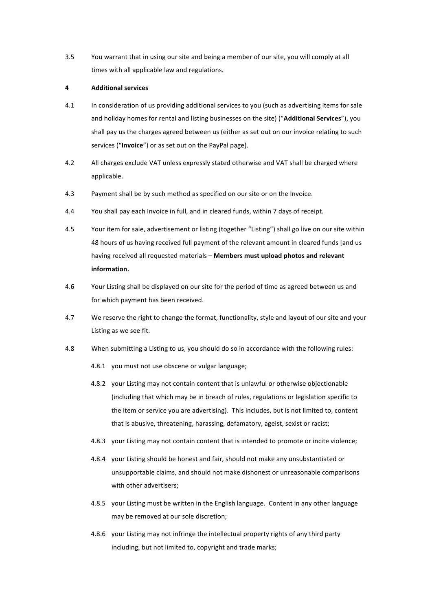3.5 You warrant that in using our site and being a member of our site, you will comply at all times with all applicable law and regulations.

### **4 Additional services**

- 4.1 In consideration of us providing additional services to you (such as advertising items for sale and holiday homes for rental and listing businesses on the site) ("Additional Services"), you shall pay us the charges agreed between us (either as set out on our invoice relating to such services ("Invoice") or as set out on the PayPal page).
- 4.2 All charges exclude VAT unless expressly stated otherwise and VAT shall be charged where applicable.
- 4.3 Payment shall be by such method as specified on our site or on the Invoice.
- 4.4 You shall pay each Invoice in full, and in cleared funds, within 7 days of receipt.
- 4.5 Your item for sale, advertisement or listing (together "Listing") shall go live on our site within 48 hours of us having received full payment of the relevant amount in cleared funds [and us having received all requested materials – Members must upload photos and relevant **information.**
- 4.6 Your Listing shall be displayed on our site for the period of time as agreed between us and for which payment has been received.
- 4.7 We reserve the right to change the format, functionality, style and layout of our site and your Listing as we see fit.
- 4.8 When submitting a Listing to us, you should do so in accordance with the following rules:
	- 4.8.1 you must not use obscene or vulgar language;
	- 4.8.2 your Listing may not contain content that is unlawful or otherwise objectionable (including that which may be in breach of rules, regulations or legislation specific to the item or service you are advertising). This includes, but is not limited to, content that is abusive, threatening, harassing, defamatory, ageist, sexist or racist;
	- 4.8.3 your Listing may not contain content that is intended to promote or incite violence;
	- 4.8.4 your Listing should be honest and fair, should not make any unsubstantiated or unsupportable claims, and should not make dishonest or unreasonable comparisons with other advertisers;
	- 4.8.5 your Listing must be written in the English language. Content in any other language may be removed at our sole discretion;
	- 4.8.6 your Listing may not infringe the intellectual property rights of any third party including, but not limited to, copyright and trade marks;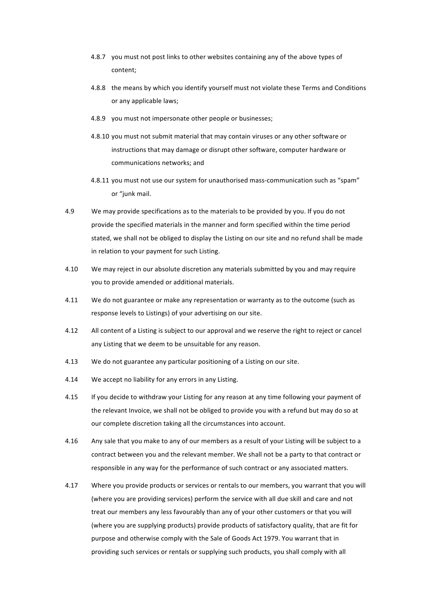- 4.8.7 you must not post links to other websites containing any of the above types of content;
- 4.8.8 the means by which you identify yourself must not violate these Terms and Conditions or any applicable laws;
- 4.8.9 vou must not impersonate other people or businesses:
- 4.8.10 you must not submit material that may contain viruses or any other software or instructions that may damage or disrupt other software, computer hardware or communications networks; and
- 4.8.11 you must not use our system for unauthorised mass-communication such as "spam" or "junk mail.
- 4.9 We may provide specifications as to the materials to be provided by you. If you do not provide the specified materials in the manner and form specified within the time period stated, we shall not be obliged to display the Listing on our site and no refund shall be made in relation to your payment for such Listing.
- 4.10 We may reject in our absolute discretion any materials submitted by you and may require you to provide amended or additional materials.
- 4.11 We do not guarantee or make any representation or warranty as to the outcome (such as response levels to Listings) of your advertising on our site.
- 4.12 All content of a Listing is subject to our approval and we reserve the right to reject or cancel any Listing that we deem to be unsuitable for any reason.
- 4.13 We do not guarantee any particular positioning of a Listing on our site.
- 4.14 We accept no liability for any errors in any Listing.
- 4.15 If you decide to withdraw your Listing for any reason at any time following your payment of the relevant Invoice, we shall not be obliged to provide you with a refund but may do so at our complete discretion taking all the circumstances into account.
- 4.16 Any sale that you make to any of our members as a result of your Listing will be subject to a contract between you and the relevant member. We shall not be a party to that contract or responsible in any way for the performance of such contract or any associated matters.
- 4.17 Where you provide products or services or rentals to our members, you warrant that you will (where you are providing services) perform the service with all due skill and care and not treat our members any less favourably than any of your other customers or that you will (where you are supplying products) provide products of satisfactory quality, that are fit for purpose and otherwise comply with the Sale of Goods Act 1979. You warrant that in providing such services or rentals or supplying such products, you shall comply with all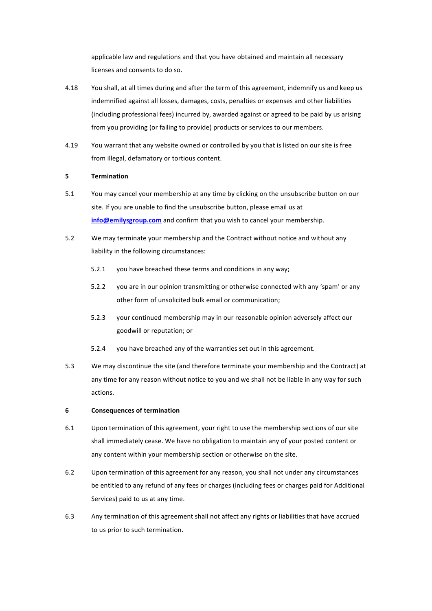applicable law and regulations and that you have obtained and maintain all necessary licenses and consents to do so.

- 4.18 You shall, at all times during and after the term of this agreement, indemnify us and keep us indemnified against all losses, damages, costs, penalties or expenses and other liabilities (including professional fees) incurred by, awarded against or agreed to be paid by us arising from you providing (or failing to provide) products or services to our members.
- 4.19 You warrant that any website owned or controlled by you that is listed on our site is free from illegal, defamatory or tortious content.

## **5 Termination**

- 5.1 You may cancel your membership at any time by clicking on the unsubscribe button on our site. If you are unable to find the unsubscribe button, please email us at **info@emilysgroup.com** and confirm that you wish to cancel your membership.
- 5.2 We may terminate your membership and the Contract without notice and without any liability in the following circumstances:
	- 5.2.1 you have breached these terms and conditions in any way;
	- 5.2.2 you are in our opinion transmitting or otherwise connected with any 'spam' or any other form of unsolicited bulk email or communication;
	- 5.2.3 vour continued membership may in our reasonable opinion adversely affect our goodwill or reputation; or
	- 5.2.4 you have breached any of the warranties set out in this agreement.
- 5.3 We may discontinue the site (and therefore terminate your membership and the Contract) at any time for any reason without notice to you and we shall not be liable in any way for such actions.

### **6 Consequences of termination**

- 6.1 Upon termination of this agreement, your right to use the membership sections of our site shall immediately cease. We have no obligation to maintain any of your posted content or any content within your membership section or otherwise on the site.
- 6.2 Upon termination of this agreement for any reason, you shall not under any circumstances be entitled to any refund of any fees or charges (including fees or charges paid for Additional Services) paid to us at any time.
- 6.3 Any termination of this agreement shall not affect any rights or liabilities that have accrued to us prior to such termination.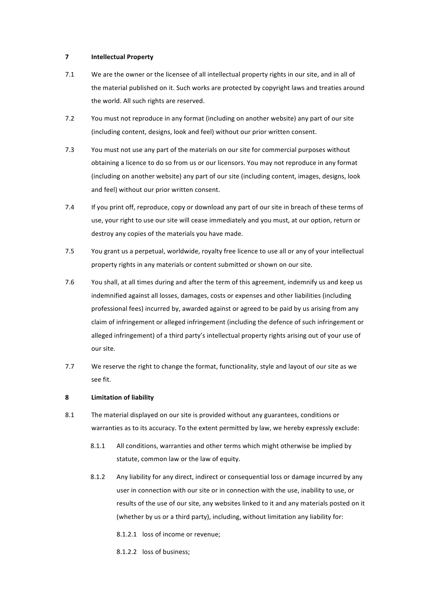## **7 Intellectual Property**

- 7.1 We are the owner or the licensee of all intellectual property rights in our site, and in all of the material published on it. Such works are protected by copyright laws and treaties around the world. All such rights are reserved.
- 7.2 You must not reproduce in any format (including on another website) any part of our site (including content, designs, look and feel) without our prior written consent.
- 7.3 You must not use any part of the materials on our site for commercial purposes without obtaining a licence to do so from us or our licensors. You may not reproduce in any format (including on another website) any part of our site (including content, images, designs, look and feel) without our prior written consent.
- 7.4 If you print off, reproduce, copy or download any part of our site in breach of these terms of use, your right to use our site will cease immediately and you must, at our option, return or destroy any copies of the materials you have made.
- 7.5 You grant us a perpetual, worldwide, royalty free licence to use all or any of your intellectual property rights in any materials or content submitted or shown on our site.
- 7.6 You shall, at all times during and after the term of this agreement, indemnify us and keep us indemnified against all losses, damages, costs or expenses and other liabilities (including professional fees) incurred by, awarded against or agreed to be paid by us arising from any claim of infringement or alleged infringement (including the defence of such infringement or alleged infringement) of a third party's intellectual property rights arising out of your use of our site.
- 7.7 We reserve the right to change the format, functionality, style and layout of our site as we see fit.

## **8 Limitation of liability**

- 8.1 The material displayed on our site is provided without any guarantees, conditions or warranties as to its accuracy. To the extent permitted by law, we hereby expressly exclude:
	- 8.1.1 All conditions, warranties and other terms which might otherwise be implied by statute, common law or the law of equity.
	- 8.1.2 Any liability for any direct, indirect or consequential loss or damage incurred by any user in connection with our site or in connection with the use, inability to use, or results of the use of our site, any websites linked to it and any materials posted on it (whether by us or a third party), including, without limitation any liability for:
		- 8.1.2.1 loss of income or revenue;
		- 8.1.2.2 loss of business;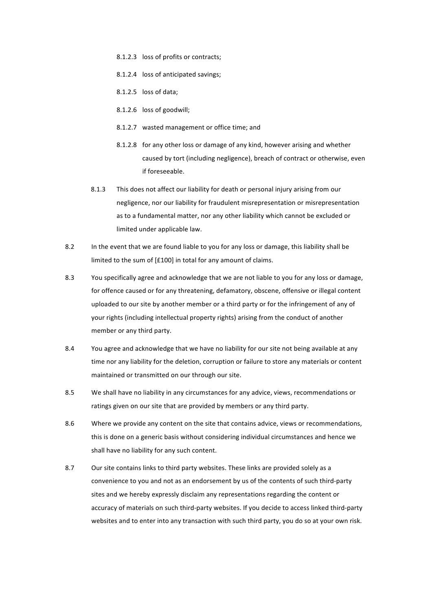- 8.1.2.3 loss of profits or contracts;
- 8.1.2.4 loss of anticipated savings;
- $8.1.2.5$  loss of data;
- 8.1.2.6 loss of goodwill;
- 8.1.2.7 wasted management or office time; and
- 8.1.2.8 for any other loss or damage of any kind, however arising and whether caused by tort (including negligence), breach of contract or otherwise, even if foreseeable.
- 8.1.3 This does not affect our liability for death or personal injury arising from our negligence, nor our liability for fraudulent misrepresentation or misrepresentation as to a fundamental matter, nor any other liability which cannot be excluded or limited under applicable law.
- 8.2 In the event that we are found liable to you for any loss or damage, this liability shall be limited to the sum of [£100] in total for any amount of claims.
- 8.3 You specifically agree and acknowledge that we are not liable to you for any loss or damage, for offence caused or for any threatening, defamatory, obscene, offensive or illegal content uploaded to our site by another member or a third party or for the infringement of any of your rights (including intellectual property rights) arising from the conduct of another member or any third party.
- 8.4 You agree and acknowledge that we have no liability for our site not being available at any time nor any liability for the deletion, corruption or failure to store any materials or content maintained or transmitted on our through our site.
- 8.5 We shall have no liability in any circumstances for any advice, views, recommendations or ratings given on our site that are provided by members or any third party.
- 8.6 Where we provide any content on the site that contains advice, views or recommendations, this is done on a generic basis without considering individual circumstances and hence we shall have no liability for any such content.
- 8.7 Our site contains links to third party websites. These links are provided solely as a convenience to you and not as an endorsement by us of the contents of such third-party sites and we hereby expressly disclaim any representations regarding the content or accuracy of materials on such third-party websites. If you decide to access linked third-party websites and to enter into any transaction with such third party, you do so at your own risk.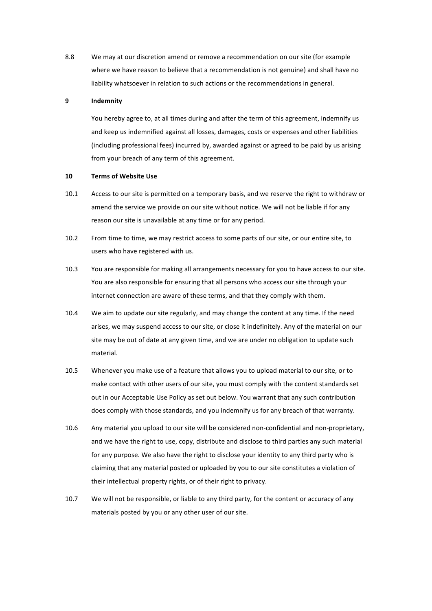8.8 We may at our discretion amend or remove a recommendation on our site (for example where we have reason to believe that a recommendation is not genuine) and shall have no liability whatsoever in relation to such actions or the recommendations in general.

## **9 Indemnity**

You hereby agree to, at all times during and after the term of this agreement, indemnify us and keep us indemnified against all losses, damages, costs or expenses and other liabilities (including professional fees) incurred by, awarded against or agreed to be paid by us arising from your breach of any term of this agreement.

### **10 Terms of Website Use**

- 10.1 Access to our site is permitted on a temporary basis, and we reserve the right to withdraw or amend the service we provide on our site without notice. We will not be liable if for any reason our site is unavailable at any time or for any period.
- 10.2 From time to time, we may restrict access to some parts of our site, or our entire site, to users who have registered with us.
- 10.3 You are responsible for making all arrangements necessary for you to have access to our site. You are also responsible for ensuring that all persons who access our site through your internet connection are aware of these terms, and that they comply with them.
- 10.4 We aim to update our site regularly, and may change the content at any time. If the need arises, we may suspend access to our site, or close it indefinitely. Any of the material on our site may be out of date at any given time, and we are under no obligation to update such material.
- 10.5 Whenever you make use of a feature that allows you to upload material to our site, or to make contact with other users of our site, you must comply with the content standards set out in our Acceptable Use Policy as set out below. You warrant that any such contribution does comply with those standards, and you indemnify us for any breach of that warranty.
- 10.6 Any material you upload to our site will be considered non-confidential and non-proprietary, and we have the right to use, copy, distribute and disclose to third parties any such material for any purpose. We also have the right to disclose your identity to any third party who is claiming that any material posted or uploaded by you to our site constitutes a violation of their intellectual property rights, or of their right to privacy.
- 10.7 We will not be responsible, or liable to any third party, for the content or accuracy of any materials posted by you or any other user of our site.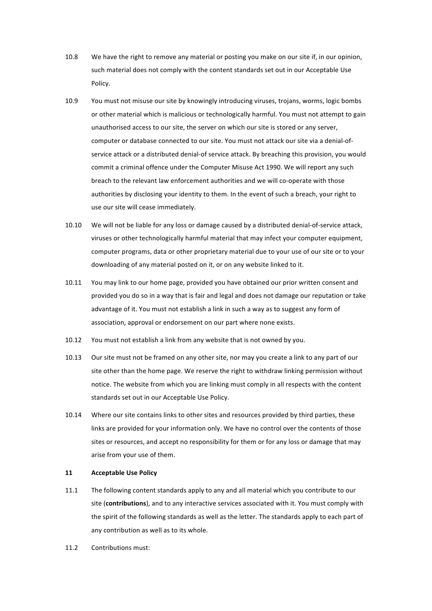- 10.8 We have the right to remove any material or posting you make on our site if, in our opinion, such material does not comply with the content standards set out in our Acceptable Use Policy.
- 10.9 You must not misuse our site by knowingly introducing viruses, trojans, worms, logic bombs or other material which is malicious or technologically harmful. You must not attempt to gain unauthorised access to our site, the server on which our site is stored or any server, computer or database connected to our site. You must not attack our site via a denial-ofservice attack or a distributed denial-of service attack. By breaching this provision, you would commit a criminal offence under the Computer Misuse Act 1990. We will report any such breach to the relevant law enforcement authorities and we will co-operate with those authorities by disclosing your identity to them. In the event of such a breach, your right to use our site will cease immediately.
- 10.10 We will not be liable for any loss or damage caused by a distributed denial-of-service attack, viruses or other technologically harmful material that may infect your computer equipment, computer programs, data or other proprietary material due to your use of our site or to your downloading of any material posted on it, or on any website linked to it.
- 10.11 You may link to our home page, provided you have obtained our prior written consent and provided you do so in a way that is fair and legal and does not damage our reputation or take advantage of it. You must not establish a link in such a way as to suggest any form of association, approval or endorsement on our part where none exists.
- 10.12 You must not establish a link from any website that is not owned by you.
- 10.13 Our site must not be framed on any other site, nor may you create a link to any part of our site other than the home page. We reserve the right to withdraw linking permission without notice. The website from which you are linking must comply in all respects with the content standards set out in our Acceptable Use Policy.
- 10.14 Where our site contains links to other sites and resources provided by third parties, these links are provided for your information only. We have no control over the contents of those sites or resources, and accept no responsibility for them or for any loss or damage that may arise from your use of them.

## **11 Acceptable Use Policy**

- 11.1 The following content standards apply to any and all material which you contribute to our site (contributions), and to any interactive services associated with it. You must comply with the spirit of the following standards as well as the letter. The standards apply to each part of any contribution as well as to its whole.
- 11.2 Contributions must: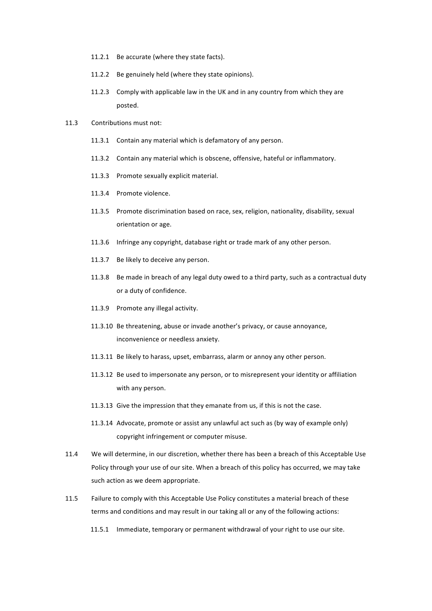- 11.2.1 Be accurate (where they state facts).
- 11.2.2 Be genuinely held (where they state opinions).
- 11.2.3 Comply with applicable law in the UK and in any country from which they are posted.
- 11.3 Contributions must not:
	- 11.3.1 Contain any material which is defamatory of any person.
	- 11.3.2 Contain any material which is obscene, offensive, hateful or inflammatory.
	- 11.3.3 Promote sexually explicit material.
	- 11.3.4 Promote violence.
	- 11.3.5 Promote discrimination based on race, sex, religion, nationality, disability, sexual orientation or age.
	- 11.3.6 Infringe any copyright, database right or trade mark of any other person.
	- 11.3.7 Be likely to deceive any person.
	- 11.3.8 Be made in breach of any legal duty owed to a third party, such as a contractual duty or a duty of confidence.
	- 11.3.9 Promote any illegal activity.
	- 11.3.10 Be threatening, abuse or invade another's privacy, or cause annoyance, inconvenience or needless anxiety.
	- 11.3.11 Be likely to harass, upset, embarrass, alarm or annoy any other person.
	- 11.3.12 Be used to impersonate any person, or to misrepresent your identity or affiliation with any person.
	- 11.3.13 Give the impression that they emanate from us, if this is not the case.
	- 11.3.14 Advocate, promote or assist any unlawful act such as (by way of example only) copyright infringement or computer misuse.
- 11.4 We will determine, in our discretion, whether there has been a breach of this Acceptable Use Policy through your use of our site. When a breach of this policy has occurred, we may take such action as we deem appropriate.
- 11.5 Failure to comply with this Acceptable Use Policy constitutes a material breach of these terms and conditions and may result in our taking all or any of the following actions:
	- 11.5.1 Immediate, temporary or permanent withdrawal of your right to use our site.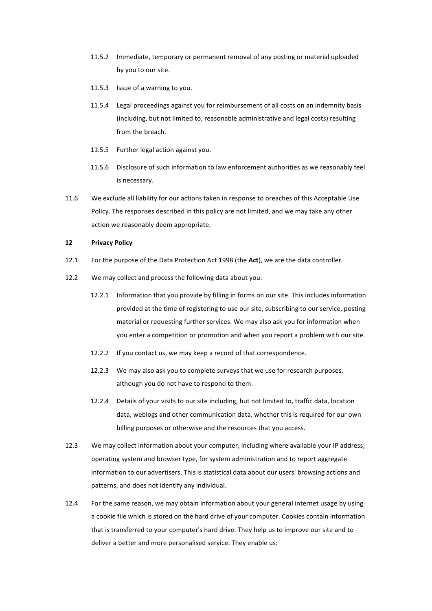- 11.5.2 Immediate, temporary or permanent removal of any posting or material uploaded by you to our site.
- 11.5.3 Issue of a warning to you.
- 11.5.4 Legal proceedings against you for reimbursement of all costs on an indemnity basis (including, but not limited to, reasonable administrative and legal costs) resulting from the breach.
- 11.5.5 Further legal action against you.
- 11.5.6 Disclosure of such information to law enforcement authorities as we reasonably feel is necessary.
- 11.6 We exclude all liability for our actions taken in response to breaches of this Acceptable Use Policy. The responses described in this policy are not limited, and we may take any other action we reasonably deem appropriate.

### **12 Privacy Policy**

- 12.1 For the purpose of the Data Protection Act 1998 (the Act), we are the data controller.
- 12.2 We may collect and process the following data about you:
	- 12.2.1 Information that you provide by filling in forms on our site. This includes information provided at the time of registering to use our site, subscribing to our service, posting material or requesting further services. We may also ask you for information when you enter a competition or promotion and when you report a problem with our site.
	- 12.2.2 If you contact us, we may keep a record of that correspondence.
	- 12.2.3 We may also ask you to complete surveys that we use for research purposes. although you do not have to respond to them.
	- 12.2.4 Details of your visits to our site including, but not limited to, traffic data, location data, weblogs and other communication data, whether this is required for our own billing purposes or otherwise and the resources that you access.
- 12.3 We may collect information about your computer, including where available your IP address, operating system and browser type, for system administration and to report aggregate information to our advertisers. This is statistical data about our users' browsing actions and patterns, and does not identify any individual.
- 12.4 For the same reason, we may obtain information about your general internet usage by using a cookie file which is stored on the hard drive of your computer. Cookies contain information that is transferred to your computer's hard drive. They help us to improve our site and to deliver a better and more personalised service. They enable us: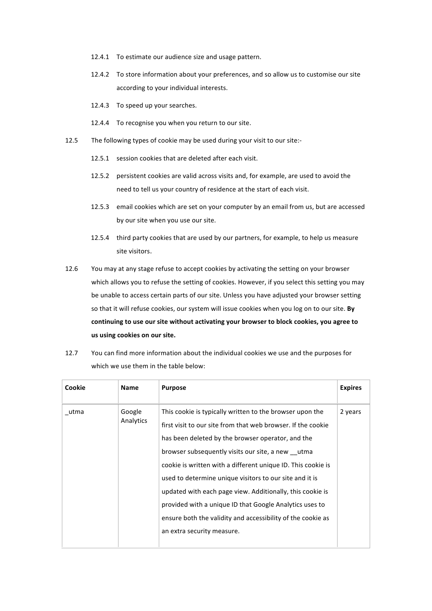- 12.4.1 To estimate our audience size and usage pattern.
- 12.4.2 To store information about your preferences, and so allow us to customise our site according to your individual interests.
- 12.4.3 To speed up your searches.
- 12.4.4 To recognise you when you return to our site.
- 12.5 The following types of cookie may be used during your visit to our site:-
	- 12.5.1 session cookies that are deleted after each visit.
	- 12.5.2 persistent cookies are valid across visits and, for example, are used to avoid the need to tell us your country of residence at the start of each visit.
	- 12.5.3 email cookies which are set on your computer by an email from us, but are accessed by our site when you use our site.
	- 12.5.4 third party cookies that are used by our partners, for example, to help us measure site visitors.
- 12.6 You may at any stage refuse to accept cookies by activating the setting on your browser which allows you to refuse the setting of cookies. However, if you select this setting you may be unable to access certain parts of our site. Unless you have adjusted your browser setting so that it will refuse cookies, our system will issue cookies when you log on to our site. By continuing to use our site without activating your browser to block cookies, you agree to **us using cookies on our site.**
- 12.7 You can find more information about the individual cookies we use and the purposes for which we use them in the table below:

| Cookie | Name                | <b>Purpose</b>                                                                                                                                                                                                                                                                                                                                                                                                                                                                                                                                                                    | <b>Expires</b> |
|--------|---------------------|-----------------------------------------------------------------------------------------------------------------------------------------------------------------------------------------------------------------------------------------------------------------------------------------------------------------------------------------------------------------------------------------------------------------------------------------------------------------------------------------------------------------------------------------------------------------------------------|----------------|
| utma   | Google<br>Analytics | This cookie is typically written to the browser upon the<br>first visit to our site from that web browser. If the cookie<br>has been deleted by the browser operator, and the<br>browser subsequently visits our site, a new utma<br>cookie is written with a different unique ID. This cookie is<br>used to determine unique visitors to our site and it is<br>updated with each page view. Additionally, this cookie is<br>provided with a unique ID that Google Analytics uses to<br>ensure both the validity and accessibility of the cookie as<br>an extra security measure. | 2 years        |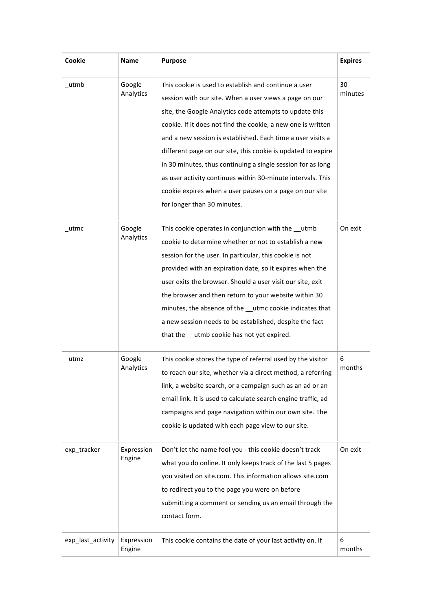| Cookie            | Name                 | <b>Purpose</b>                                                                                                                                                                                                                                                                                                                                                                                                                                                                                                                                                                                   | <b>Expires</b> |
|-------------------|----------------------|--------------------------------------------------------------------------------------------------------------------------------------------------------------------------------------------------------------------------------------------------------------------------------------------------------------------------------------------------------------------------------------------------------------------------------------------------------------------------------------------------------------------------------------------------------------------------------------------------|----------------|
| _utmb             | Google<br>Analytics  | This cookie is used to establish and continue a user<br>session with our site. When a user views a page on our<br>site, the Google Analytics code attempts to update this<br>cookie. If it does not find the cookie, a new one is written<br>and a new session is established. Each time a user visits a<br>different page on our site, this cookie is updated to expire<br>in 30 minutes, thus continuing a single session for as long<br>as user activity continues within 30-minute intervals. This<br>cookie expires when a user pauses on a page on our site<br>for longer than 30 minutes. | 30<br>minutes  |
| utmc              | Google<br>Analytics  | This cookie operates in conjunction with the __utmb<br>cookie to determine whether or not to establish a new<br>session for the user. In particular, this cookie is not<br>provided with an expiration date, so it expires when the<br>user exits the browser. Should a user visit our site, exit<br>the browser and then return to your website within 30<br>minutes, the absence of the __utmc cookie indicates that<br>a new session needs to be established, despite the fact<br>that the __utmb cookie has not yet expired.                                                                 | On exit        |
| utmz              | Google<br>Analytics  | This cookie stores the type of referral used by the visitor<br>to reach our site, whether via a direct method, a referring<br>link, a website search, or a campaign such as an ad or an<br>email link. It is used to calculate search engine traffic, ad<br>campaigns and page navigation within our own site. The<br>cookie is updated with each page view to our site.                                                                                                                                                                                                                         | 6<br>months    |
| exp_tracker       | Expression<br>Engine | Don't let the name fool you - this cookie doesn't track<br>what you do online. It only keeps track of the last 5 pages<br>you visited on site.com. This information allows site.com<br>to redirect you to the page you were on before<br>submitting a comment or sending us an email through the<br>contact form.                                                                                                                                                                                                                                                                                | On exit        |
| exp_last_activity | Expression<br>Engine | This cookie contains the date of your last activity on. If                                                                                                                                                                                                                                                                                                                                                                                                                                                                                                                                       | 6<br>months    |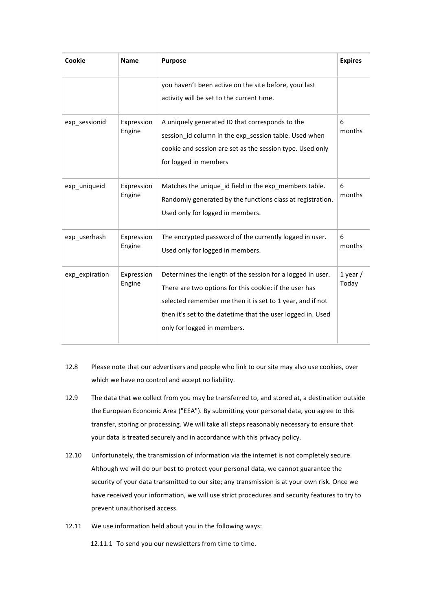| Cookie         | <b>Name</b>          | <b>Purpose</b>                                                                                                                                                                                                                                                                  | <b>Expires</b>      |
|----------------|----------------------|---------------------------------------------------------------------------------------------------------------------------------------------------------------------------------------------------------------------------------------------------------------------------------|---------------------|
|                |                      | you haven't been active on the site before, your last<br>activity will be set to the current time.                                                                                                                                                                              |                     |
| exp_sessionid  | Expression<br>Engine | A uniquely generated ID that corresponds to the<br>session_id column in the exp_session table. Used when<br>cookie and session are set as the session type. Used only<br>for logged in members                                                                                  | 6<br>months         |
| exp_uniqueid   | Expression<br>Engine | Matches the unique_id field in the exp_members table.<br>Randomly generated by the functions class at registration.<br>Used only for logged in members.                                                                                                                         | 6<br>months         |
| exp userhash   | Expression<br>Engine | The encrypted password of the currently logged in user.<br>Used only for logged in members.                                                                                                                                                                                     | 6<br>months         |
| exp_expiration | Expression<br>Engine | Determines the length of the session for a logged in user.<br>There are two options for this cookie: if the user has<br>selected remember me then it is set to 1 year, and if not<br>then it's set to the datetime that the user logged in. Used<br>only for logged in members. | $1$ year /<br>Today |

- 12.8 Please note that our advertisers and people who link to our site may also use cookies, over which we have no control and accept no liability.
- 12.9 The data that we collect from you may be transferred to, and stored at, a destination outside the European Economic Area ("EEA"). By submitting your personal data, you agree to this transfer, storing or processing. We will take all steps reasonably necessary to ensure that your data is treated securely and in accordance with this privacy policy.
- 12.10 Unfortunately, the transmission of information via the internet is not completely secure. Although we will do our best to protect your personal data, we cannot guarantee the security of your data transmitted to our site; any transmission is at your own risk. Once we have received your information, we will use strict procedures and security features to try to prevent unauthorised access.
- 12.11 We use information held about you in the following ways:
	- 12.11.1 To send you our newsletters from time to time.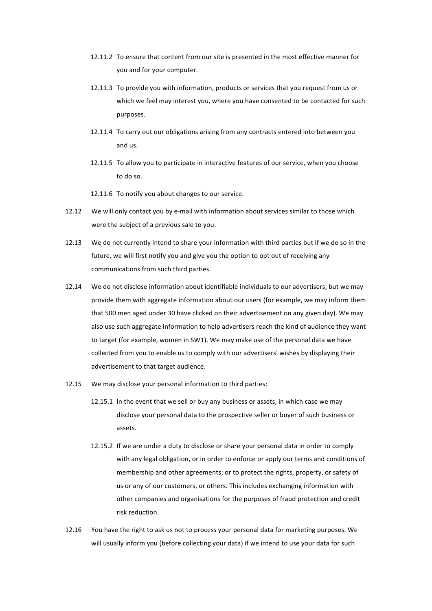- 12.11.2 To ensure that content from our site is presented in the most effective manner for you and for your computer.
- 12.11.3 To provide you with information, products or services that you request from us or which we feel may interest you, where you have consented to be contacted for such purposes.
- 12.11.4 To carry out our obligations arising from any contracts entered into between you and us.
- 12.11.5 To allow you to participate in interactive features of our service, when you choose to do so.
- 12.11.6 To notify you about changes to our service.
- 12.12 We will only contact you by e-mail with information about services similar to those which were the subject of a previous sale to you.
- 12.13 We do not currently intend to share your information with third parties but if we do so in the future, we will first notify you and give you the option to opt out of receiving any communications from such third parties.
- 12.14 We do not disclose information about identifiable individuals to our advertisers, but we may provide them with aggregate information about our users (for example, we may inform them that 500 men aged under 30 have clicked on their advertisement on any given day). We may also use such aggregate information to help advertisers reach the kind of audience they want to target (for example, women in SW1). We may make use of the personal data we have collected from you to enable us to comply with our advertisers' wishes by displaying their advertisement to that target audience.
- 12.15 We may disclose your personal information to third parties:
	- 12.15.1 In the event that we sell or buy any business or assets, in which case we may disclose your personal data to the prospective seller or buyer of such business or assets.
	- 12.15.2 If we are under a duty to disclose or share your personal data in order to comply with any legal obligation, or in order to enforce or apply our terms and conditions of membership and other agreements; or to protect the rights, property, or safety of us or any of our customers, or others. This includes exchanging information with other companies and organisations for the purposes of fraud protection and credit risk reduction.
- 12.16 You have the right to ask us not to process your personal data for marketing purposes. We will usually inform you (before collecting your data) if we intend to use your data for such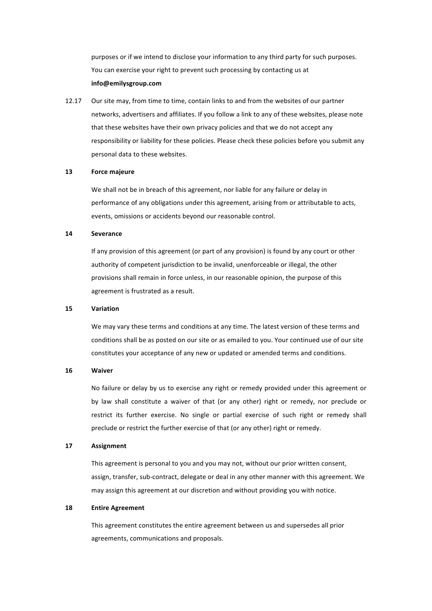purposes or if we intend to disclose your information to any third party for such purposes. You can exercise your right to prevent such processing by contacting us at **info@emilysgroup.com**

12.17 Our site may, from time to time, contain links to and from the websites of our partner networks, advertisers and affiliates. If you follow a link to any of these websites, please note that these websites have their own privacy policies and that we do not accept any responsibility or liability for these policies. Please check these policies before you submit any personal data to these websites.

## **13 Force majeure**

We shall not be in breach of this agreement, nor liable for any failure or delay in performance of any obligations under this agreement, arising from or attributable to acts, events, omissions or accidents beyond our reasonable control.

#### **14 Severance**

If any provision of this agreement (or part of any provision) is found by any court or other authority of competent jurisdiction to be invalid, unenforceable or illegal, the other provisions shall remain in force unless, in our reasonable opinion, the purpose of this agreement is frustrated as a result.

#### **15 Variation**

We may vary these terms and conditions at any time. The latest version of these terms and conditions shall be as posted on our site or as emailed to you. Your continued use of our site constitutes your acceptance of any new or updated or amended terms and conditions.

## **16 Waiver**

No failure or delay by us to exercise any right or remedy provided under this agreement or by law shall constitute a waiver of that (or any other) right or remedy, nor preclude or restrict its further exercise. No single or partial exercise of such right or remedy shall preclude or restrict the further exercise of that (or any other) right or remedy.

#### **17 Assignment**

This agreement is personal to you and you may not, without our prior written consent, assign, transfer, sub-contract, delegate or deal in any other manner with this agreement. We may assign this agreement at our discretion and without providing you with notice.

## **18 Entire Agreement**

This agreement constitutes the entire agreement between us and supersedes all prior agreements, communications and proposals.